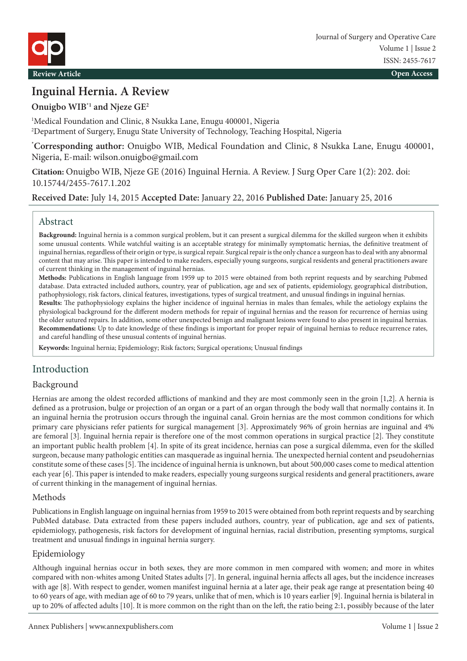

# **Inguinal Hernia. A Review**

**Onuigbo WIB\*1 and Njeze GE2**

1 Medical Foundation and Clinic, 8 Nsukka Lane, Enugu 400001, Nigeria 2 Department of Surgery, Enugu State University of Technology, Teaching Hospital, Nigeria

**\* Corresponding author:** Onuigbo WIB, Medical Foundation and Clinic, 8 Nsukka Lane, Enugu 400001, Nigeria, E-mail: wilson.onuigbo@gmail.com

**Citation:** Onuigbo WIB, Njeze GE (2016) Inguinal Hernia. A Review. J Surg Oper Care 1(2): 202. doi: 10.15744/2455-7617.1.202

**Received Date:** July 14, 2015 **Accepted Date:** January 22, 2016 **Published Date:** January 25, 2016

#### Abstract

**Background:** Inguinal hernia is a common surgical problem, but it can present a surgical dilemma for the skilled surgeon when it exhibits some unusual contents. While watchful waiting is an acceptable strategy for minimally symptomatic hernias, the definitive treatment of inguinal hernias, regardless of their origin or type, is surgical repair. Surgical repair is the only chance a surgeon has to deal with any abnormal content that may arise. This paper is intended to make readers, especially young surgeons, surgical residents and general practitioners aware of current thinking in the management of inguinal hernias.

**Methods:** Publications in English language from 1959 up to 2015 were obtained from both reprint requests and by searching Pubmed database. Data extracted included authors, country, year of publication, age and sex of patients, epidemiology, geographical distribution, pathophysiology, risk factors, clinical features, investigations, types of surgical treatment, and unusual findings in inguinal hernias.

**Results:** The pathophysiology explains the higher incidence of inguinal hernias in males than females, while the aetiology explains the physiological background for the different modern methods for repair of inguinal hernias and the reason for recurrence of hernias using the older sutured repairs. In addition, some other unexpected benign and malignant lesions were found to also present in inguinal hernias. **Recommendations:** Up to date knowledge of these findings is important for proper repair of inguinal hernias to reduce recurrence rates, and careful handling of these unusual contents of inguinal hernias.

**Keywords:** Inguinal hernia; Epidemiology; Risk factors; Surgical operations; Unusual findings

# Introduction

#### Background

Hernias are among the oldest recorded afflictions of mankind and they are most commonly seen in the groin [1,2]. A hernia is defined as a protrusion, bulge or projection of an organ or a part of an organ through the body wall that normally contains it. In an inguinal hernia the protrusion occurs through the inguinal canal. Groin hernias are the most common conditions for which primary care physicians refer patients for surgical management [3]. Approximately 96% of groin hernias are inguinal and 4% are femoral [3]. Inguinal hernia repair is therefore one of the most common operations in surgical practice [2]. They constitute an important public health problem [4]. In spite of its great incidence, hernias can pose a surgical dilemma, even for the skilled surgeon, because many pathologic entities can masquerade as inguinal hernia. The unexpected hernial content and pseudohernias constitute some of these cases [5]. The incidence of inguinal hernia is unknown, but about 500,000 cases come to medical attention each year [6]. This paper is intended to make readers, especially young surgeons surgical residents and general practitioners, aware of current thinking in the management of inguinal hernias.

#### Methods

Publications in English language on inguinal hernias from 1959 to 2015 were obtained from both reprint requests and by searching PubMed database. Data extracted from these papers included authors, country, year of publication, age and sex of patients, epidemiology, pathogenesis, risk factors for development of inguinal hernias, racial distribution, presenting symptoms, surgical treatment and unusual findings in inguinal hernia surgery.

#### Epidemiology

Although inguinal hernias occur in both sexes, they are more common in men compared with women; and more in whites compared with non-whites among United States adults [7]. In general, inguinal hernia affects all ages, but the incidence increases with age [8]. With respect to gender, women manifest inguinal hernia at a later age, their peak age range at presentation being 40 to 60 years of age, with median age of 60 to 79 years, unlike that of men, which is 10 years earlier [9]. Inguinal hernia is bilateral in up to 20% of affected adults [10]. It is more common on the right than on the left, the ratio being 2:1, possibly because of the later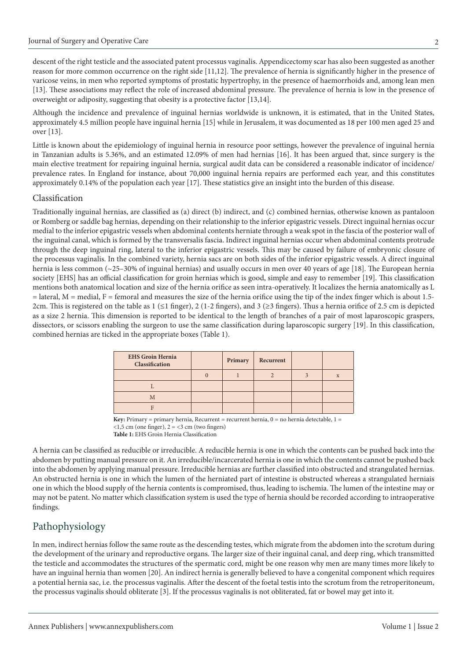descent of the right testicle and the associated patent processus vaginalis. Appendicectomy scar has also been suggested as another reason for more common occurrence on the right side [11,12]. The prevalence of hernia is significantly higher in the presence of varicose veins, in men who reported symptoms of prostatic hypertrophy, in the presence of haemorrhoids and, among lean men [13]. These associations may reflect the role of increased abdominal pressure. The prevalence of hernia is low in the presence of overweight or adiposity, suggesting that obesity is a protective factor [13,14].

Although the incidence and prevalence of inguinal hernias worldwide is unknown, it is estimated, that in the United States, approximately 4.5 million people have inguinal hernia [15] while in Jerusalem, it was documented as 18 per 100 men aged 25 and over [13].

Little is known about the epidemiology of inguinal hernia in resource poor settings, however the prevalence of inguinal hernia in Tanzanian adults is 5.36%, and an estimated 12.09% of men had hernias [16]. It has been argued that, since surgery is the main elective treatment for repairing inguinal hernia, surgical audit data can be considered a reasonable indicator of incidence/ prevalence rates. In England for instance, about 70,000 inguinal hernia repairs are performed each year, and this constitutes approximately 0.14% of the population each year [17]. These statistics give an insight into the burden of this disease.

#### Classification

Traditionally inguinal hernias, are classified as (a) direct (b) indirect, and (c) combined hernias, otherwise known as pantaloon or Romberg or saddle bag hernias, depending on their relationship to the inferior epigastric vessels. Direct inguinal hernias occur medial to the inferior epigastric vessels when abdominal contents herniate through a weak spot in the fascia of the posterior wall of the inguinal canal, which is formed by the transversalis fascia. Indirect inguinal hernias occur when abdominal contents protrude through the deep inguinal ring, lateral to the inferior epigastric vessels. This may be caused by failure of embryonic closure of the processus vaginalis. In the combined variety, hernia sacs are on both sides of the inferior epigastric vessels. A direct inguinal hernia is less common (~25–30% of inguinal hernias) and usually occurs in men over 40 years of age [18]. The European hernia society [EHS] has an official classification for groin hernias which is good, simple and easy to remember [19]. This classification mentions both anatomical location and size of the hernia orifice as seen intra-operatively. It localizes the hernia anatomically as L  $=$  lateral,  $M =$  medial,  $F =$  femoral and measures the size of the hernia orifice using the tip of the index finger which is about 1.5-2cm. This is registered on the table as 1 (≤1 finger), 2 (1-2 fingers), and 3 (≥3 fingers). Thus a hernia orifice of 2.5 cm is depicted as a size 2 hernia. This dimension is reported to be identical to the length of branches of a pair of most laparoscopic graspers, dissectors, or scissors enabling the surgeon to use the same classification during laparoscopic surgery [19]. In this classification, combined hernias are ticked in the appropriate boxes (Table 1).

| <b>EHS Groin Hernia</b><br>Classification | Primary | Recurrent |   |
|-------------------------------------------|---------|-----------|---|
|                                           |         |           | X |
|                                           |         |           |   |
| M                                         |         |           |   |
|                                           |         |           |   |

Key: Primary = primary hernia, Recurrent = recurrent hernia, 0 = no hernia detectable, 1 =  $<$ 1,5 cm (one finger), 2 =  $<$ 3 cm (two fingers) **Table 1:** EHS Groin Hernia Classification

A hernia can be classified as reducible or irreducible. A reducible hernia is one in which the contents can be pushed back into the abdomen by putting manual pressure on it. An irreducible/incarcerated hernia is one in which the contents cannot be pushed back into the abdomen by applying manual pressure. Irreducible hernias are further classified into obstructed and strangulated hernias. An obstructed hernia is one in which the lumen of the herniated part of intestine is obstructed whereas a strangulated herniais one in which the blood supply of the hernia contents is compromised, thus, leading to ischemia. The lumen of the intestine may or may not be patent. No matter which classification system is used the type of hernia should be recorded according to intraoperative findings.

# Pathophysiology

In men, indirect hernias follow the same route as the descending testes, which migrate from the abdomen into the scrotum during the development of the urinary and reproductive organs. The larger size of their inguinal canal, and deep ring, which transmitted the testicle and accommodates the structures of the spermatic cord, might be one reason why men are many times more likely to have an inguinal hernia than women [20]. An indirect hernia is generally believed to have a congenital component which requires a potential hernia sac, i.e. the processus vaginalis. After the descent of the foetal testis into the scrotum from the retroperitoneum, the processus vaginalis should obliterate [3]. If the processus vaginalis is not obliterated, fat or bowel may get into it.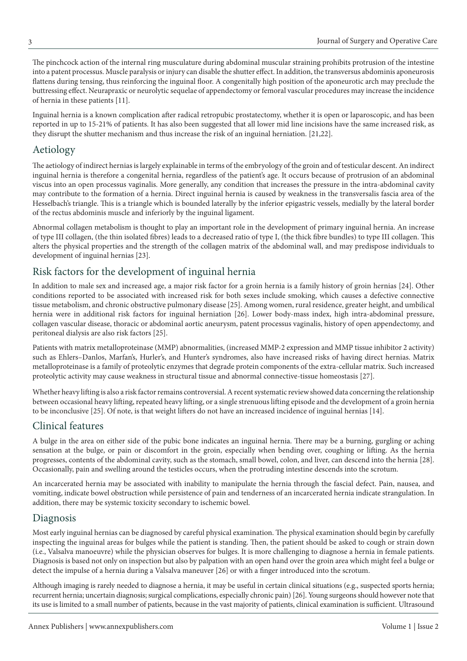The pinchcock action of the internal ring musculature during abdominal muscular straining prohibits protrusion of the intestine into a patent processus. Muscle paralysis or injury can disable the shutter effect. In addition, the transversus abdominis aponeurosis flattens during tensing, thus reinforcing the inguinal floor. A congenitally high position of the aponeurotic arch may preclude the buttressing effect. Neurapraxic or neurolytic sequelae of appendectomy or femoral vascular procedures may increase the incidence of hernia in these patients [11].

Inguinal hernia is a known complication after radical retropubic prostatectomy, whether it is open or laparoscopic, and has been reported in up to 15-21% of patients. It has also been suggested that all lower mid line incisions have the same increased risk, as they disrupt the shutter mechanism and thus increase the risk of an inguinal herniation. [21,22].

### Aetiology

The aetiology of indirect hernias is largely explainable in terms of the embryology of the groin and of testicular descent. An indirect inguinal hernia is therefore a congenital hernia, regardless of the patient's age. It occurs because of protrusion of an abdominal viscus into an open processus vaginalis. More generally, any condition that increases the pressure in the intra-abdominal cavity may contribute to the formation of a hernia. Direct inguinal hernia is caused by weakness in the transversalis fascia area of the Hesselbach's triangle. This is a triangle which is bounded laterally by the inferior epigastric vessels, medially by the lateral border of the rectus abdominis muscle and inferiorly by the inguinal ligament.

Abnormal collagen metabolism is thought to play an important role in the development of primary inguinal hernia. An increase of type III collagen, (the thin isolated fibres) leads to a decreased ratio of type I, (the thick fibre bundles) to type III collagen. This alters the physical properties and the strength of the collagen matrix of the abdominal wall, and may predispose individuals to development of inguinal hernias [23].

### Risk factors for the development of inguinal hernia

In addition to male sex and increased age, a major risk factor for a groin hernia is a family history of groin hernias [24]. Other conditions reported to be associated with increased risk for both sexes include smoking, which causes a defective connective tissue metabolism, and chronic obstructive pulmonary disease [25]. Among women, rural residence, greater height, and umbilical hernia were in additional risk factors for inguinal herniation [26]. Lower body-mass index, high intra-abdominal pressure, collagen vascular disease, thoracic or abdominal aortic aneurysm, patent processus vaginalis, history of open appendectomy, and peritoneal dialysis are also risk factors [25].

Patients with matrix metalloproteinase (MMP) abnormalities, (increased MMP-2 expression and MMP tissue inhibitor 2 activity) such as Ehlers–Danlos, Marfan's, Hurler's, and Hunter's syndromes, also have increased risks of having direct hernias. Matrix metalloproteinase is a family of proteolytic enzymes that degrade protein components of the extra-cellular matrix. Such increased proteolytic activity may cause weakness in structural tissue and abnormal connective-tissue homeostasis [27].

Whether heavy lifting is also a risk factor remains controversial. A recent systematic review showed data concerning the relationship between occasional heavy lifting, repeated heavy lifting, or a single strenuous lifting episode and the development of a groin hernia to be inconclusive [25]. Of note, is that weight lifters do not have an increased incidence of inguinal hernias [14].

### Clinical features

A bulge in the area on either side of the pubic bone indicates an inguinal hernia. There may be a burning, gurgling or aching sensation at the bulge, or pain or discomfort in the groin, especially when bending over, coughing or lifting. As the hernia progresses, contents of the abdominal cavity, such as the stomach, small bowel, colon, and liver, can descend into the hernia [28]. Occasionally, pain and swelling around the testicles occurs, when the protruding intestine descends into the scrotum.

An incarcerated hernia may be associated with inability to manipulate the hernia through the fascial defect. Pain, nausea, and vomiting, indicate bowel obstruction while persistence of pain and tenderness of an incarcerated hernia indicate strangulation. In addition, there may be systemic toxicity secondary to ischemic bowel.

#### Diagnosis

Most early inguinal hernias can be diagnosed by careful physical examination. The physical examination should begin by carefully inspecting the inguinal areas for bulges while the patient is standing. Then, the patient should be asked to cough or strain down (i.e., Valsalva manoeuvre) while the physician observes for bulges. It is more challenging to diagnose a hernia in female patients. Diagnosis is based not only on inspection but also by palpation with an open hand over the groin area which might feel a bulge or detect the impulse of a hernia during a Valsalva maneuver [26] or with a finger introduced into the scrotum.

Although imaging is rarely needed to diagnose a hernia, it may be useful in certain clinical situations (e.g., suspected sports hernia; recurrent hernia; uncertain diagnosis; surgical complications, especially chronic pain) [26]. Young surgeons should however note that its use is limited to a small number of patients, because in the vast majority of patients, clinical examination is sufficient. Ultrasound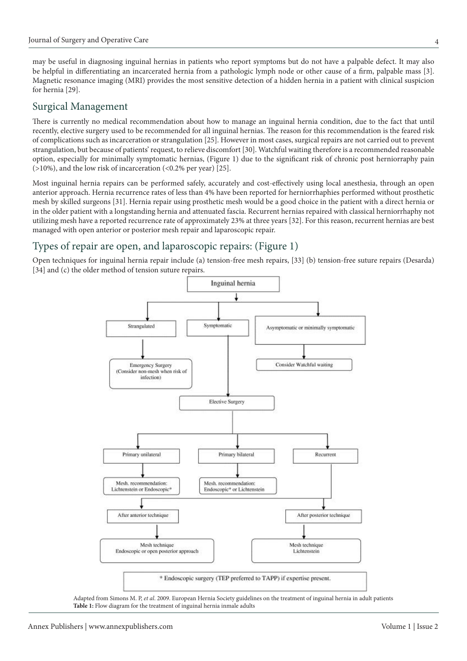may be useful in diagnosing inguinal hernias in patients who report symptoms but do not have a palpable defect. It may also be helpful in differentiating an incarcerated hernia from a pathologic lymph node or other cause of a firm, palpable mass [3]. Magnetic resonance imaging (MRI) provides the most sensitive detection of a hidden hernia in a patient with clinical suspicion for hernia [29].

### Surgical Management

There is currently no medical recommendation about how to manage an inguinal hernia condition, due to the fact that until recently, elective surgery used to be recommended for all inguinal hernias. The reason for this recommendation is the feared risk of complications such as incarceration or strangulation [25]. However in most cases, surgical repairs are not carried out to prevent strangulation, but because of patients' request, to relieve discomfort [30]. Watchful waiting therefore is a recommended reasonable option, especially for minimally symptomatic hernias, (Figure 1) due to the significant risk of chronic post herniorraphy pain  $(>10\%)$ , and the low risk of incarceration  $( $0.2\%$  per year)$  [25].

Most inguinal hernia repairs can be performed safely, accurately and cost-effectively using local anesthesia, through an open anterior approach. Hernia recurrence rates of less than 4% have been reported for herniorrhaphies performed without prosthetic mesh by skilled surgeons [31]. Hernia repair using prosthetic mesh would be a good choice in the patient with a direct hernia or in the older patient with a longstanding hernia and attenuated fascia. Recurrent hernias repaired with classical herniorrhaphy not utilizing mesh have a reported recurrence rate of approximately 23% at three years [32]. For this reason, recurrent hernias are best managed with open anterior or posterior mesh repair and laparoscopic repair.

### Types of repair are open, and laparoscopic repairs: (Figure 1)

Open techniques for inguinal hernia repair include (a) tension-free mesh repairs, [33] (b) tension-free suture repairs (Desarda) [34] and (c) the older method of tension suture repairs.



Adapted from Simons M. P, *et al*. 2009. European Hernia Society guidelines on the treatment of inguinal hernia in adult patients Table 1: Flow diagram for the treatment of inguinal hernia inmale adults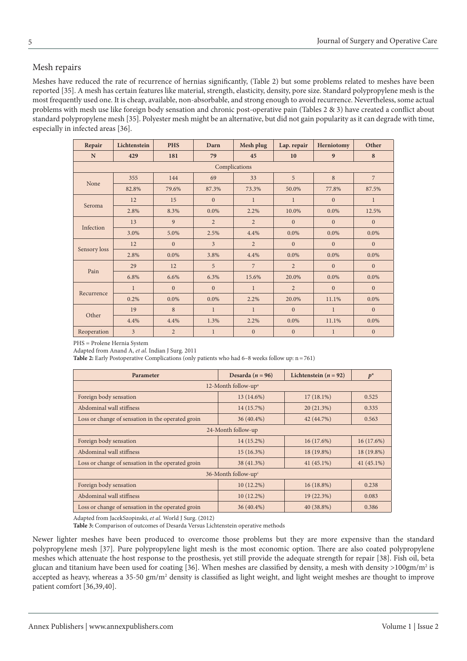#### Mesh repairs

Meshes have reduced the rate of recurrence of hernias significantly, (Table 2) but some problems related to meshes have been reported [35]. A mesh has certain features like material, strength, elasticity, density, pore size. Standard polypropylene mesh is the most frequently used one. It is cheap, available, non-absorbable, and strong enough to avoid recurrence. Nevertheless, some actual problems with mesh use like foreign body sensation and chronic post-operative pain (Tables 2 & 3) have created a conflict about standard polypropylene mesh [35]. Polyester mesh might be an alternative, but did not gain popularity as it can degrade with time, especially in infected areas [36].

| Repair        | Lichtenstein   | <b>PHS</b>     | Darn           | Mesh plug      | Lap. repair    | Herniotomy   | Other          |  |
|---------------|----------------|----------------|----------------|----------------|----------------|--------------|----------------|--|
| N             | 429            | 181            | 79             | 45             | 10             | 9            | 8              |  |
| Complications |                |                |                |                |                |              |                |  |
| None          | 355            | 144            | 69             | 33             | 5              | 8            | $\overline{7}$ |  |
|               | 82.8%          | 79.6%          | 87.3%          | 73.3%          | 50.0%          | 77.8%        | 87.5%          |  |
| Seroma        | 12             | 15             | $\Omega$       | $\mathbf{1}$   | $\mathbf{1}$   | $\Omega$     | $\mathbf{1}$   |  |
|               | 2.8%           | 8.3%           | 0.0%           | 2.2%           | 10.0%          | 0.0%         | 12.5%          |  |
| Infection     | 13             | 9              | $\overline{2}$ | $\overline{2}$ | $\overline{0}$ | $\mathbf{0}$ | $\mathbf{0}$   |  |
|               | 3.0%           | 5.0%           | 2.5%           | 4.4%           | $0.0\%$        | $0.0\%$      | $0.0\%$        |  |
| Sensory loss  | 12             | $\mathbf{0}$   | $\overline{3}$ | $\overline{2}$ | $\overline{0}$ | $\mathbf{0}$ | $\mathbf{0}$   |  |
|               | 2.8%           | $0.0\%$        | 3.8%           | 4.4%           | 0.0%           | 0.0%         | $0.0\%$        |  |
| Pain          | 29             | 12             | 5              | $\overline{7}$ | $\overline{2}$ | $\mathbf{0}$ | $\mathbf{0}$   |  |
|               | 6.8%           | 6.6%           | 6.3%           | 15.6%          | 20.0%          | 0.0%         | $0.0\%$        |  |
| Recurrence    | $\mathbf{1}$   | $\mathbf{0}$   | $\overline{0}$ | $\mathbf{1}$   | $\overline{2}$ | $\mathbf{0}$ | $\mathbf{0}$   |  |
|               | 0.2%           | $0.0\%$        | $0.0\%$        | 2.2%           | 20.0%          | 11.1%        | $0.0\%$        |  |
| Other         | 19             | 8              | $\mathbf{1}$   | $\mathbf{1}$   | $\theta$       | $\mathbf{1}$ | $\mathbf{0}$   |  |
|               | 4.4%           | 4.4%           | 1.3%           | 2.2%           | 0.0%           | 11.1%        | $0.0\%$        |  |
| Reoperation   | $\overline{3}$ | $\overline{2}$ | $\mathbf{1}$   | $\mathbf{0}$   | $\mathbf{0}$   | $\mathbf{1}$ | $\mathbf{0}$   |  |

PHS = Prolene Hernia System

Adapted from Anand A, *et al.* Indian J Surg. 2011

**Table 2:** Early Postoperative Complications (only patients who had 6–8 weeks follow up: n=761)

| Parameter                                         | Desarda ( $n = 96$ ) | Lichtenstein ( $n = 92$ ) | $p^*$        |  |  |  |  |
|---------------------------------------------------|----------------------|---------------------------|--------------|--|--|--|--|
| 12-Month follow-up <sup>a</sup>                   |                      |                           |              |  |  |  |  |
| Foreign body sensation                            | $13(14.6\%)$         | $17(18.1\%)$              | 0.525        |  |  |  |  |
| Abdominal wall stiffness                          | 14 (15.7%)           | 20(21.3%)                 | 0.335        |  |  |  |  |
| Loss or change of sensation in the operated groin | $36(40.4\%)$         | 42 (44.7%)                | 0.563        |  |  |  |  |
| 24-Month follow-up                                |                      |                           |              |  |  |  |  |
| Foreign body sensation                            | $14(15.2\%)$         | 16(17.6%)                 | $16(17.6\%)$ |  |  |  |  |
| Abdominal wall stiffness                          | $15(16.3\%)$         | 18 (19.8%)                | 18 (19.8%)   |  |  |  |  |
| Loss or change of sensation in the operated groin | 38 (41.3%)           | $41(45.1\%)$              | $41(45.1\%)$ |  |  |  |  |
| 36-Month follow-up $\epsilon$                     |                      |                           |              |  |  |  |  |
| Foreign body sensation                            | $10(12.2\%)$         | $16(18.8\%)$              | 0.238        |  |  |  |  |
| Abdominal wall stiffness                          | $10(12.2\%)$         | 19 (22.3%)                | 0.083        |  |  |  |  |
| Loss or change of sensation in the operated groin | $36(40.4\%)$         | 40 (38.8%)                | 0.386        |  |  |  |  |

Adapted from JacekSzopinski, *et al.* World J Surg. (2012)

**Table 3:** Comparison of outcomes of Desarda Versus Lichtenstein operative methods

Newer lighter meshes have been produced to overcome those problems but they are more expensive than the standard polypropylene mesh [37]. Pure polypropylene light mesh is the most economic option. There are also coated polypropylene meshes which attenuate the host response to the prosthesis, yet still provide the adequate strength for repair [38]. Fish oil, beta glucan and titanium have been used for coating [36]. When meshes are classified by density, a mesh with density >100gm/m<sup>2</sup> is accepted as heavy, whereas a 35-50 gm/m<sup>2</sup> density is classified as light weight, and light weight meshes are thought to improve patient comfort [36,39,40].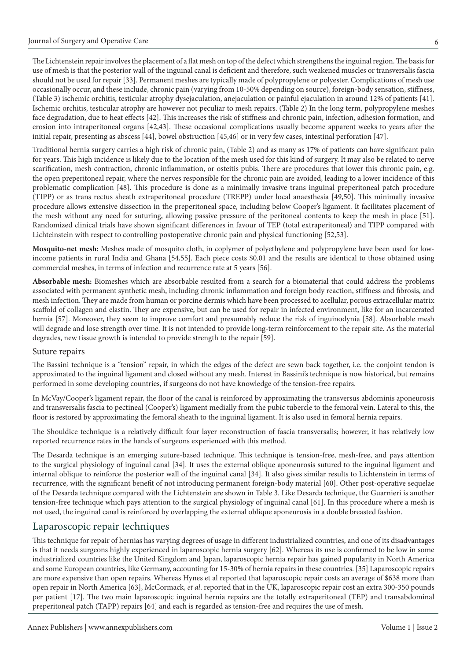The Lichtenstein repair involves the placement of a flat mesh on top of the defect which strengthens the inguinal region. The basis for use of mesh is that the posterior wall of the inguinal canal is deficient and therefore, such weakened muscles or transversalis fascia should not be used for repair [33]. Permanent meshes are typically made of polypropylene or polyester. Complications of mesh use occasionally occur, and these include, chronic pain (varying from 10-50% depending on source), foreign-body sensation, stiffness, (Table 3) ischemic orchitis, testicular atrophy dysejaculation, anejaculation or painful ejaculation in around 12% of patients [41]. Ischemic orchitis, testicular atrophy are however not peculiar to mesh repairs. (Table 2) In the long term, polypropylene meshes face degradation, due to heat effects [42]. This increases the risk of stiffness and chronic pain, infection, adhesion formation, and erosion into intraperitoneal organs [42,43]. These occasional complications usually become apparent weeks to years after the initial repair, presenting as abscess [44], bowel obstruction [45,46] or in very few cases, intestinal perforation [47].

Traditional hernia surgery carries a high risk of chronic pain, (Table 2) and as many as 17% of patients can have significant pain for years. This high incidence is likely due to the location of the mesh used for this kind of surgery. It may also be related to nerve scarification, mesh contraction, chronic inflammation, or osteitis pubis. There are procedures that lower this chronic pain, e.g. the open preperitoneal repair, where the nerves responsible for the chronic pain are avoided, leading to a lower incidence of this problematic complication [48]. This procedure is done as a minimally invasive trans inguinal preperitoneal patch procedure (TIPP) or as trans rectus sheath extraperitoneal procedure (TREPP) under local anaesthesia [49,50]. This minimally invasive procedure allows extensive dissection in the preperitoneal space, including below Cooper's ligament. It facilitates placement of the mesh without any need for suturing, allowing passive pressure of the peritoneal contents to keep the mesh in place [51]. Randomized clinical trials have shown significant differences in favour of TEP (total extraperitoneal) and TIPP compared with Lichteinstein with respect to controlling postoperative chronic pain and physical functioning [52,53].

**Mosquito-net mesh:** Meshes made of mosquito cloth, in coplymer of polyethylene and polypropylene have been used for lowincome patients in rural India and Ghana [54,55]. Each piece costs \$0.01 and the results are identical to those obtained using commercial meshes, in terms of infection and recurrence rate at 5 years [56].

**Absorbable mesh:** Biomeshes which are absorbable resulted from a search for a biomaterial that could address the problems associated with permanent synthetic mesh, including chronic inflammation and foreign body reaction, stiffness and fibrosis, and mesh infection. They are made from human or porcine dermis which have been processed to acellular, porous extracellular matrix scaffold of collagen and elastin. They are expensive, but can be used for repair in infected environment, like for an incarcerated hernia [57]. Moreover, they seem to improve comfort and presumably reduce the risk of inguinodynia [58]. Absorbable mesh will degrade and lose strength over time. It is not intended to provide long-term reinforcement to the repair site. As the material degrades, new tissue growth is intended to provide strength to the repair [59].

#### Suture repairs

The Bassini technique is a "tension" repair, in which the edges of the defect are sewn back together, i.e. the conjoint tendon is approximated to the inguinal ligament and closed without any mesh. Interest in Bassini's technique is now historical, but remains performed in some developing countries, if surgeons do not have knowledge of the tension-free repairs.

In McVay/Cooper's ligament repair, the floor of the canal is reinforced by approximating the transversus abdominis aponeurosis and transversalis fascia to pectineal (Cooper's) ligament medially from the pubic tubercle to the femoral vein. Lateral to this, the floor is restored by approximating the femoral sheath to the inguinal ligament. It is also used in femoral hernia repairs.

The Shouldice technique is a relatively difficult four layer reconstruction of fascia transversalis; however, it has relatively low reported recurrence rates in the hands of surgeons experienced with this method.

The Desarda technique is an emerging suture-based technique. This technique is tension-free, mesh-free, and pays attention to the surgical physiology of inguinal canal [34]. It uses the external oblique aponeurosis sutured to the inguinal ligament and internal oblique to reinforce the posterior wall of the inguinal canal [34]. It also gives similar results to Lichtenstein in terms of recurrence, with the significant benefit of not introducing permanent foreign-body material [60]. Other post-operative sequelae of the Desarda technique compared with the Lichtenstein are shown in Table 3. Like Desarda technique, the Guarnieri is another tension-free technique which pays attention to the surgical physiology of inguinal canal [61]. In this procedure where a mesh is not used, the inguinal canal is reinforced by overlapping the external oblique aponeurosis in a double breasted fashion.

#### Laparoscopic repair techniques

This technique for repair of hernias has varying degrees of usage in different industrialized countries, and one of its disadvantages is that it needs surgeons highly experienced in laparoscopic hernia surgery [62]. Whereas its use is confirmed to be low in some industrialized countries like the United Kingdom and Japan, laparoscopic hernia repair has gained popularity in North America and some European countries, like Germany, accounting for 15-30% of hernia repairs in these countries. [35] Laparoscopic repairs are more expensive than open repairs. Whereas Hynes et al reported that laparoscopic repair costs an average of \$638 more than open repair in North America [63], McCormack, *et al*. reported that in the UK, laparoscopic repair cost an extra 300-350 pounds per patient [17]. The two main laparoscopic inguinal hernia repairs are the totally extraperitoneal (TEP) and transabdominal preperitoneal patch (TAPP) repairs [64] and each is regarded as tension-free and requires the use of mesh.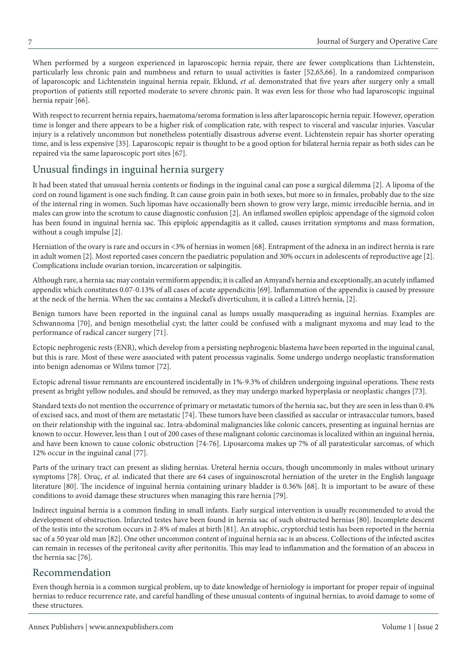When performed by a surgeon experienced in laparoscopic hernia repair, there are fewer complications than Lichtenstein, particularly less chronic pain and numbness and return to usual activities is faster [52,65,66]. In a randomized comparison of laparoscopic and Lichtenstein inguinal hernia repair, Eklund, *et al*. demonstrated that five years after surgery only a small proportion of patients still reported moderate to severe chronic pain. It was even less for those who had laparoscopic inguinal hernia repair [66].

With respect to recurrent hernia repairs, haematoma/seroma formation is less after laparoscopic hernia repair. However, operation time is longer and there appears to be a higher risk of complication rate, with respect to visceral and vascular injuries. Vascular injury is a relatively uncommon but nonetheless potentially disastrous adverse event. Lichtenstein repair has shorter operating time, and is less expensive [35]. Laparoscopic repair is thought to be a good option for bilateral hernia repair as both sides can be repaired via the same laparoscopic port sites [67].

### Unusual findings in inguinal hernia surgery

It had been stated that unusual hernia contents or findings in the inguinal canal can pose a surgical dilemma [2]. A lipoma of the cord on round ligament is one such finding. It can cause groin pain in both sexes, but more so in females, probably due to the size of the internal ring in women. Such lipomas have occasionally been shown to grow very large, mimic irreducible hernia, and in males can grow into the scrotum to cause diagnostic confusion [2]. An inflamed swollen epiploic appendage of the sigmoid colon has been found in inguinal hernia sac. This epiploic appendagitis as it called, causes irritation symptoms and mass formation, without a cough impulse [2].

Herniation of the ovary is rare and occurs in <3% of hernias in women [68]. Entrapment of the adnexa in an indirect hernia is rare in adult women [2]. Most reported cases concern the paediatric population and 30% occurs in adolescents of reproductive age [2]. Complications include ovarian torsion, incarceration or salpingitis.

Although rare, a hernia sac may contain vermiform appendix; it is called an Amyand's hernia and exceptionally, an acutely inflamed appendix which constitutes 0.07-0.13% of all cases of acute appendicitis [69]. Inflammation of the appendix is caused by pressure at the neck of the hernia. When the sac contains a Meckel's diverticulum, it is called a Littre's hernia, [2].

Benign tumors have been reported in the inguinal canal as lumps usually masquerading as inguinal hernias. Examples are Schwannoma [70], and benign mesothelial cyst; the latter could be confused with a malignant myxoma and may lead to the performance of radical cancer surgery [71].

Ectopic nephrogenic rests (ENR), which develop from a persisting nephrogenic blastema have been reported in the inguinal canal, but this is rare. Most of these were associated with patent processus vaginalis. Some undergo undergo neoplastic transformation into benign adenomas or Wilms tumor [72].

Ectopic adrenal tissue remnants are encountered incidentally in 1%-9.3% of children undergoing inguinal operations. These rests present as bright yellow nodules, and should be removed, as they may undergo marked hyperplasia or neoplastic changes [73].

Standard texts do not mention the occurrence of primary or metastatic tumors of the hernia sac, but they are seen in less than 0.4% of excised sacs, and most of them are metastatic [74]. These tumors have been classified as saccular or intrasaccular tumors, based on their relationship with the inguinal sac. Intra-abdominal malignancies like colonic cancers, presenting as inguinal hernias are known to occur. However, less than 1 out of 200 cases of these malignant colonic carcinomas is localized within an inguinal hernia, and have been known to cause colonic obstruction [74-76]. Liposarcoma makes up 7% of all paratesticular sarcomas, of which 12% occur in the inguinal canal [77].

Parts of the urinary tract can present as sliding hernias. Ureteral hernia occurs, though uncommonly in males without urinary symptoms [78]. Oruç, *et al*. indicated that there are 64 cases of inguinoscrotal herniation of the ureter in the English language literature [80]. The incidence of inguinal hernia containing urinary bladder is 0.36% [68]. It is important to be aware of these conditions to avoid damage these structures when managing this rare hernia [79].

Indirect inguinal hernia is a common finding in small infants. Early surgical intervention is usually recommended to avoid the development of obstruction. Infarcted testes have been found in hernia sac of such obstructed hernias [80]. Incomplete descent of the testis into the scrotum occurs in 2-8% of males at birth [81]. An atrophic, cryptorchid testis has been reported in the hernia sac of a 50 year old man [82]. One other uncommon content of inguinal hernia sac is an abscess. Collections of the infected ascites can remain in recesses of the peritoneal cavity after peritonitis. This may lead to inflammation and the formation of an abscess in the hernia sac [76].

#### Recommendation

Even though hernia is a common surgical problem, up to date knowledge of herniology is important for proper repair of inguinal hernias to reduce recurrence rate, and careful handling of these unusual contents of inguinal hernias, to avoid damage to some of these structures.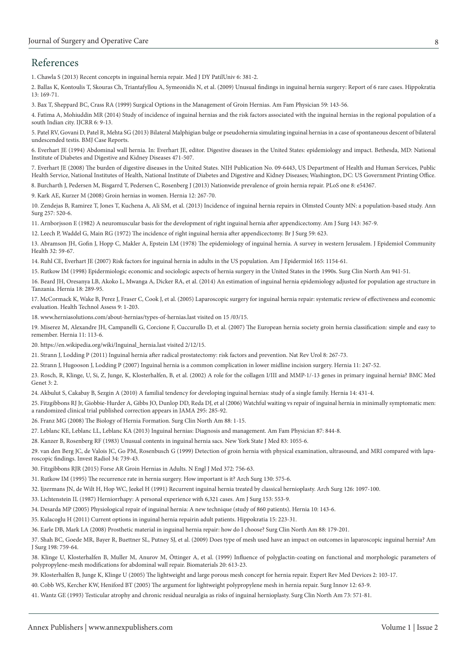### References

[1. Chawla S \(2013\) Recent concepts in inguinal hernia repair. Med J DY PatilUniv 6: 381-2.](http://www.mjdrdypu.org/article.asp?issn=0975-2870;year=2013;volume=6;issue=4;spage=381;epage=382;aulast=Chawla)

[2. Ballas K, Kontoulis T, Skouras Ch, Triantafyllou A, Symeonidis N, et al. \(2009\) Unusual findings in inguinal hernia surgery: Report of 6 rare cases. Hippokratia](http://www.ncbi.nlm.nih.gov/pubmed/19918306)  13: 169-71.

[3. Bax T, Sheppard BC, Crass RA \(1999\) Surgical Options in the Management of Groin Hernias. Am Fam Physician 59: 143-56.](http://www.aafp.org/afp/1999/0101/p143.html)

[4. Fatima A, Mohiuddin MR \(2014\) Study of incidence of inguinal hernias and the risk factors associated with the inguinal hernias in the regional population of a](http://www.scopemed.org/?mno=174520)  south Indian city. IJCRR 6: 9-13.

[5. Patel RV, Govani D, Patel R, Mehta SG \(2013\) Bilateral Malphigian bulge or pseudohernia simulating inguinal hernias in a case of spontaneous descent of bilateral](http://www.ncbi.nlm.nih.gov/pubmed/24072834)  undescended testis. BMJ Case Reports.

[6. Everhart JE \(1994\) Abdominal wall hernia. In: Everhart JE, editor. Digestive diseases in the United States: epidemiology and impact. Bethesda, MD: National](http://www.niddk.nih.gov/about-niddk/strategic-plans-reports/Pages/burden-digestive-diseases-in-united-states-report.aspx)  Institute of Diabetes and Digestive and Kidney Diseases 471-507.

[7. Everhart JE \(2008\) The burden of digestive diseases in the United States. NIH Publication No. 09-6443, US Department of Health and Human Services, Public](http://www.niddk.nih.gov/about-niddk/strategic-plans-reports/Pages/burden-digestive-diseases-united-states.aspx)  Health Service, National Institutes of Health, National Institute of Diabetes and Digestive and Kidney Diseases; Washington, DC: US Government Printing Office.

[8. Burcharth J, Pedersen M, Bisgarrd T, Pedersen C, Rosenberg J \(2013\) Nationwide prevalence of groin hernia repair. PLoS one 8: e54367.](http://www.ncbi.nlm.nih.gov/pubmed/23342139)

[9. Kark AE, Kurzer M \(2008\) Groin hernias in women. Hernia 12: 267-70.](http://www.ncbi.nlm.nih.gov/pubmed/18214638)

[10. Zendejas B, Ramirez T, Jones T, Kuchena A, Ali SM, et al. \(2013\) Incidence of inguinal hernia repairs in Olmsted County MN: a population-based study. Ann](http://www.ncbi.nlm.nih.gov/pubmed/23388353)  Surg 257: 520-6.

[11. Arnborjsson E \(1982\) A neuromuscular basis for the development of right inguinal hernia after appendicectomy. Am J Surg 143: 367-9.](http://www.ncbi.nlm.nih.gov/pubmed/6461270)

[12. Leech P, Waddel G, Main RG \(1972\) The incidence of right inguinal hernia after appendicectomy. Br J Surg 59: 623.](http://onlinelibrary.wiley.com/doi/10.1002/bjs.1800590810/abstract)

[13. Abramson JH, Gofin J, Hopp C, Makler A, Epstein LM \(1978\) The epidemiology of inguinal hernia. A survey in western Jerusalem. J Epidemiol Community](http://jech.bmj.com/content/32/1/59.short)  Health 32: 59-67.

[14. Ruhl CE, Everhart JE \(2007\) Risk factors for inguinal hernia in adults in the US population. Am J Epidermiol 165: 1154-61.](http://aje.oxfordjournals.org/content/165/10/1154.full)

[15. Rutkow IM \(1998\) Epidermiologic economic and sociologic aspects of hernia surgery in the United States in the 1990s. Surg Clin North Am 941-51.](http://www.ncbi.nlm.nih.gov/pubmed/9927978)

[16. Beard JH, Oresanya LB, Akoko L, Mwanga A, Dicker RA, et al. \(2014\) An estimation of inguinal hernia epidemiology adjusted for population age structure in](http://www.ncbi.nlm.nih.gov/pubmed/24241326)  Tanzania. Hernia 18: 289-95.

[17. McCormack K, Wake B, Perez J, Fraser C, Cook J, et al. \(2005\) Laparoscopic surgery for inguinal hernia repair: systematic review of effectiveness and economic](http://www.ncbi.nlm.nih.gov/pubmed/15842951)  evaluation. Health Technol Assess 9: 1-203.

18. www.herniasolutions.com/about-hernias/types-of-hernias.last visited on 15 /03/15.

[19. Miserez M, Alexandre JH, Campanelli G, Corcione F, Cuccurullo D, et al. \(2007\) The European hernia society groin hernia classification: simple and easy to](http://www.ncbi.nlm.nih.gov/pubmed/17353992)  remember. Hernia 11: 113-6.

20. https://en.wikipedia.org/wiki/Inguinal\_hernia.last visited 2/12/15.

[21. Strann J, Lodding P \(2011\) Inguinal hernia after radical prostatectomy: risk factors and prevention. Nat Rev Urol 8: 267-73.](http://www.nature.com/nrurol/journal/v8/n5/abs/nrurol.2011.40.html)

[22. Strann J, Hugooson J, Lodding P \(2007\) Inguinal hernia is a common complication in lower midline incision surgery. Hernia 11: 247-52.](http://www.ncbi.nlm.nih.gov/pubmed/17406787)

[23. Rosch, R, Klinge, U, Si, Z, Junge, K, Klosterhalfen, B, et al. \(2002\) A role for the collagen I/III and MMP-1/-13 genes in primary inguinal hernia? BMC Med](http://www.ncbi.nlm.nih.gov/pubmed/11872152)  Genet 3: 2.

[24. Akbulut S, Cakabay B, Sezgin A \(2010\) A familial tendency for developing inguinal hernias: study of a single family. Hernia 14: 431-4.](http://www.ncbi.nlm.nih.gov/pubmed/19727553)

[25. Fitzgibbons RJ Jr, Giobbie-Hurder A, Gibbs JO, Dunlop DD, Reda DJ, et al \(2006\) Watchful waiting vs repair of inguinal hernia in minimally symptomatic men:](http://www.ncbi.nlm.nih.gov/pubmed/16418463)  a randomized clinical trial published correction appears in JAMA 295: 285-92.

[26. Franz MG \(2008\) The Biology of Hernia Formation. Surg Clin North Am 88: 1-15.](http://www.ncbi.nlm.nih.gov/pubmed/18267158)

[27. Leblanc KE, Leblanc LL, Leblanc KA \(2013\) Inguinal hernias: Diagnosis and management. Am Fam Physician 87: 844-8.](http://europepmc.org/abstract/med/23939566)

[28. Kanzer B, Rosenberg RF \(1983\) Unusual contents in inguinal hernia sacs. New York State J Med 83: 1055-6.](http://www.ncbi.nlm.nih.gov/pubmed/6579403)

[29. van den Berg JC, de Valois JC, Go PM, Rosenbusch G \(1999\) Detection of groin hernia with physical examination, ultrasound, and MRI compared with lapa](http://www.ncbi.nlm.nih.gov/pubmed/10587869)roscopic findings. Invest Radiol 34: 739-43.

[30. Fitzgibbons RJR \(2015\) Forse AR Groin Hernias in Adults. N Engl J Med 372: 756-63.](http://www.nejm.org/doi/full/10.1056/NEJMcp1404068?af=R&rss=currentIssue)

[31. Rutkow IM \(1995\) The recurrence rate in hernia surgery. How important is it? Arch Surg 130: 575-6.](http://www.ncbi.nlm.nih.gov/pubmed/7763163)

[32. Ijzermans JN, de Wilt H, Hop WC, Jeekel H \(1991\) Recurrent inguinal hernia treated by classical hernioplasty. Arch Surg 126: 1097-100.](http://www.ncbi.nlm.nih.gov/pubmed/1929840)

[33. Lichtenstein IL \(1987\) Herniorrhapy: A personal experience with 6,321 cases. Am J Surg 153: 553-9.](http://www.ncbi.nlm.nih.gov/pubmed/3296805)

[34. Desarda MP \(2005\) Physiological repair of inguinal hernia: A new technique \(study of 860 patients\). Hernia 10: 143-6.](http://www.ncbi.nlm.nih.gov/pubmed/16341627)

[35. Kulacoglu H \(2011\) Current options in inguinal hernia repairin adult patients. Hippokratia 15: 223-31.](http://www.ncbi.nlm.nih.gov/pubmed/22435019)

[36. Earle DB, Mark LA \(2008\) Prosthetic material in inguinal hernia repair: how do I choose? Surg Clin North Am 88: 179-201.](http://www.ncbi.nlm.nih.gov/pubmed/18267169)

[37. Shah BC, Goede MR, Bayer R, Buettner SL, Putney SJ, et al. \(2009\) Does type of mesh used have an impact on outcomes in laparoscopic inguinal hernia? Am](http://www.ncbi.nlm.nih.gov/pubmed/19969126)  J Surg 198: 759-64.

[38. Klinge U, Klosterhalfen B, Muller M, Anurov M, Öttinger A, et al. \(1999\) Influence of polyglactin-coating on functional and morphologic parameters of](http://www.ncbi.nlm.nih.gov/pubmed/10208403)  polypropylene-mesh modifications for abdominal wall repair. Biomaterials 20: 613-23.

[39. Klosterhalfen B, Junge K, Klinge U \(2005\) The lightweight and large porous mesh concept for hernia repair. Expert Rev Med Devices 2: 103-17.](http://www.ncbi.nlm.nih.gov/pubmed/16293033)

[40. Cobb WS, Kercher KW, Heniford BT \(2005\) The argument for lightweight polypropylene mesh in hernia repair. Surg Innov 12: 63-9.](http://www.ncbi.nlm.nih.gov/pubmed/15846448)

[41. Wantz GE \(1993\) Testicular atrophy and chronic residual neuralgia as risks of inguinal hernioplasty. Surg Clin North Am 73: 571-81.](http://www.ncbi.nlm.nih.gov/pubmed/8497804)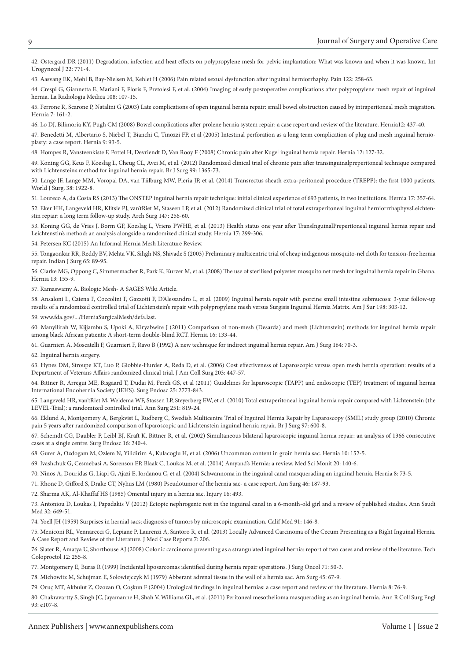[42. Ostergard DR \(2011\) Degradation, infection and heat effects on polypropylene mesh for pelvic implantation: What was known and when it was known. Int](http://www.ncbi.nlm.nih.gov/pubmed/21512830)  Urogynecol J 22: 771-4.

[43. Aasvang EK, Møhl B, Bay-Nielsen M, Kehlet H \(2006\) Pain related sexual dysfunction after inguinal herniorrhaphy. Pain 122: 258-63.](http://www.ncbi.nlm.nih.gov/pubmed/16545910) 

[44. Crespi G, Giannetta E, Mariani F, Floris F, Pretolesi F, et al. \(2004\) Imaging of early postoperative complications after polypropylene mesh repair of inguinal](http://www.ncbi.nlm.nih.gov/pubmed/15269694)  hernia. La Radiologia Medica 108: 107-15.

[45. Ferrone R, Scarone P, Natalini G \(2003\) Late complications of open inguinal hernia repair: small bowel obstruction caused by intraperitoneal mesh migration.](http://www.ncbi.nlm.nih.gov/pubmed/12712367)  Hernia 7: 161-2.

[46. Lo DJ, Bilimoria KY, Pugh CM \(2008\) Bowel complications after prolene hernia system repair: a case report and review of the literature. Hernia12: 437-40.](http://www.ncbi.nlm.nih.gov/pubmed/18236000)

[47. Benedetti M, Albertario S, Niebel T, Bianchi C, Tinozzi FP, et al \(2005\) Intestinal perforation as a long term complication of plug and mesh inguinal hernio](http://www.ncbi.nlm.nih.gov/pubmed/15290610)plasty: a case report. Hernia 9: 93-5.

[48. Hompes R, Vansteenkiste F, Pottel H, Devriendt D, Van Rooy F \(2008\) Chronic pain after Kugel inguinal hernia repair. Hernia 12: 127-32.](http://www.ncbi.nlm.nih.gov/pubmed/18026896)

[49. Koning GG, Keus F, Koeslag L, Cheug CL, Avci M, et al. \(2012\) Randomized clinical trial of chronic pain after transinguinalpreperitoneal technique compared](http://www.ncbi.nlm.nih.gov/pubmed/22961514)  with Lichtenstein's method for inguinal hernia repair. Br J Surg 99: 1365-73.

[50. Lange JF, Lange MM, Voropai DA, van Tiilburg MW, Pieria JP, et al. \(2014\) Transrectus sheath extra-peritoneal procedure \(TREPP\): the first 1000 patients.](http://link.springer.com/article/10.1007%2Fs00268-014-2475-5)  World J Surg. 38: 1922-8.

[51. Loureco A, da Costa RS \(2013\) The ONSTEP inguinal hernia repair technique: initial clinical experience of 693 patients, in two institutions. Hernia 17: 357-64.](http://www.ncbi.nlm.nih.gov/pubmed/23435639)

[52. Eker HH, Langeveld HR, Klitsie PJ, van'tRiet M, Staseen LP, et al. \(2012\) Randomized clinical trial of total extraperitoneal inguinal herniorrrhaphyvsLeichten](http://www.ncbi.nlm.nih.gov/pubmed/22430907)stin repair: a long term follow-up study. Arch Surg 147: 256-60.

[53. Koning GG, de Vries J, Borm GF, Koeslag L, Vriens PWHE, et al. \(2013\) Health status one year after TransInguinalPreperitoneal inguinal hernia repair and](http://europepmc.org/abstract/MED/22872429)  Leichtenstin's method: an analysis alongside a randomized clinical study. Hernia 17: 299-306.

[54. Petersen KC \(2015\) An Informal Hernia Mesh Literature Review.](http://www.noinsurancesurgery.com/hernia/hernia-mesh-literature-review.htm#gsc.tab=0)

[55. Tongaonkar RR, Reddy BV, Mehta VK, Sihgh NS, Shivade S \(2003\) Preliminary multicentric trial of cheap indigenous mosquito-nel cloth for tension-free hernia](http://www.bioline.org.br/abstract?id=is03018)  repair. Indian J Surg 65: 89-95.

[56. Clarke MG, Oppong C, Simmermacher R, Park K, Kurzer M, et al. \(2008\) The use of sterilised polyester mosquito net mesh for inguinal hernia repair in Ghana.](http://www.ncbi.nlm.nih.gov/pubmed/19089526)  Hernia 13: 155-9.

[57. Ramaswamy A. Biologic Mesh- A SAGES Wiki Article.](http://www.sages.org/wiki/biologic-mesh/)

[58. Ansaloni L, Catena F, Coccolini F, Gazzotti F, D'Alessandro L, et al. \(2009\) Inguinal hernia repair with porcine small intestine submucosa: 3-year follow-up](http://www.ncbi.nlm.nih.gov/pubmed/19285658)  results of a randomized controlled trial of Lichtenstein's repair with polypropylene mesh versus Surgisis Inguinal Hernia Matrix. Am J Sur 198: 303-12.

[59. www.fda.gov/.../HerniaSurgicalMesh/defa.last.](http://www.fda.gov/.../HerniaSurgicalMesh/defa.last)

[60. Manyilirah W, Kijjambu S, Upoki A, Kiryabwire J \(2011\) Comparison of non-mesh \(Desarda\) and mesh \(Lichtenstein\) methods for inguinal hernia repair](http://www.ncbi.nlm.nih.gov/pubmed/21983842)  among black African patients: A short-term double-blind RCT. Hernia 16: 133-44.

[61. Guarnieri A, Moscatelli F, Guarnieri F, Ravo B \(1992\) A new technique for indirect inguinal hernia repair. Am J Surg 164: 70-3.](http://www.ncbi.nlm.nih.gov/pubmed/1385676) 

[62. Inguinal hernia surgery.](https://en.wikipedia.org/wiki/Inguinal_hernia_surgery)

[63. Hynes DM, Stroupe KT, Luo P, Giobbie-Hurder A, Reda D, et al. \(2006\) Cost effectiveness of Laparoscopic versus open mesh hernia operation: results of a](http://www.ncbi.nlm.nih.gov/pubmed/17000387)  Department of Veterans Affairs randomized clinical trial. J Am Coll Surg 203: 447-57.

[64. Bittner R, Arregui ME, Bisgaard T, Dudai M, Ferzli GS, et al \(2011\) Guidelines for laparoscopic \(TAPP\) and endoscopic \(TEP\) treatment of inguinal hernia](http://www.ncbi.nlm.nih.gov/pubmed/21751060)  International Endohernia Society (IEHS). Surg Endosc 25: 2773-843.

[65. Langeveld HR, van'tRiet M, Weidema WF, Stassen LP, Steyerberg EW, et al. \(2010\) Total extraperitoneal inguinal hernia repair compared with Lichtenstein \(the](http://www.ncbi.nlm.nih.gov/pubmed/20395851)  LEVEL-Trial): a randomized controlled trial. Ann Surg 251: 819-24.

[66. Eklund A, Montgomery A, Bergkvist L, Rudberg C, Swedish Multicentre Trial of Inguinal Hernia Repair by Laparoscopy \(SMIL\) study group \(2010\) Chronic](http://www.ncbi.nlm.nih.gov/pubmed/20186889)  pain 5 years after randomized comparison of laparoscopic and Lichtenstein inguinal hernia repair. Br J Surg 97: 600-8.

[67. Schemdt CG, Daubler P, Leibl BJ, Kraft K, Bittner R, et al. \(2002\) Simultaneous bilateral laparoscopic inguinal hernia repair: an analysis of 1366 consecutive](http://www.ncbi.nlm.nih.gov/pubmed/11967671)  cases at a single centre. Surg Endosc 16: 240-4.

[68. Gurer A, Ozdogam M, Ozlem N, Yilidirim A, Kulacoglu H, et al. \(2006\) Uncommon content in groin hernia sac. Hernia 10: 152-5.](http://www.ncbi.nlm.nih.gov/pubmed/16172801)

[69. Ivashchuk G, Cesmebasi A, Sorenson EP, Blaak C, Loukas M, et al. \(2014\) Amyand's Hernia: a review. Med Sci Monit 20: 140-6.](http://www.ncbi.nlm.nih.gov/pubmed/24473371)

[70. Ninos A, Douridas G, Liapi G, Ajazi E, Iordanou C, et al. \(2004\) Schwannoma in the inguinal canal masquerading an inguinal hernia. Hernia 8: 73-5.](http://www.ncbi.nlm.nih.gov/pubmed/14505234) 

[71. Rhone D, Gifford S, Drake CT, Nyhus LM \(1980\) Pseudotumor of the hernia sac- a case report. Am Surg 46: 187-93.](http://www.ncbi.nlm.nih.gov/pubmed/7377664)

[72. Sharma AK, Al-Khaffaf HS \(1985\) Omental injury in a hernia sac. Injury 16: 493.](http://www.ncbi.nlm.nih.gov/pubmed/4030082)

[73. Antoniou D, Loukas I, Papadakis V \(2012\) Ectopic nephrogenic rest in the inguinal canal in a 6-month-old girl and a review of published studies. Ann Saudi](http://www.ncbi.nlm.nih.gov/pubmed/22634548)  Med 32: 649-51.

[74. Yoell JH \(1959\) Surprises in hernial sacs; diagnosis of tumors by microscopic examination. Calif Med 91: 146-8.](http://www.ncbi.nlm.nih.gov/pubmed/13846556)

[75. Meniconi RL, Vennarecci G, Lepiane P, Laurenzi A, Santoro R, et al. \(2013\) Locally Advanced Carcinoma of the Cecum Presenting as a Right Inguinal Hernia.](http://www.ncbi.nlm.nih.gov/pubmed/23945015)  A Case Report and Review of the Literature. J Med Case Reports 7: 206.

[76. Slater R, Amatya U, Shorthouse AJ \(2008\) Colonic carcinoma presenting as a strangulated inguinal hernia: report of two cases and review of the literature. Tech](http://www.ncbi.nlm.nih.gov/pubmed/18798013)  Coloproctol 12: 255-8.

[77. Montgomery E, Buras R \(1999\) Incidental liposarcomas identified during hernia repair operations. J Surg Oncol 71: 50-3.](http://www.ncbi.nlm.nih.gov/pubmed/10362092)

[78. Michowitz M, Schujman E, Solowiejczyk M \(1979\) Abberant adrenal tissue in the wall of a hernia sac. Am Surg 45: 67-9.](http://www.ncbi.nlm.nih.gov/pubmed/426374)

[79. Oruç MT, Akbulut Z, Ozozan O, Coşkun F \(2004\) Urological findings in inguinal hernias: a case report and review of the literature. Hernia 8: 76-9.](http://www.ncbi.nlm.nih.gov/pubmed/13680305)

[80. Chakravartty S, Singh JC, Jayamanne H, Shah V, Williams GL, et al. \(2011\) Peritoneal mesothelioma masquerading as an inguinal hernia. Ann R Coll Surg Engl](http://www.ncbi.nlm.nih.gov/pubmed/21929902)  93: e107-8.